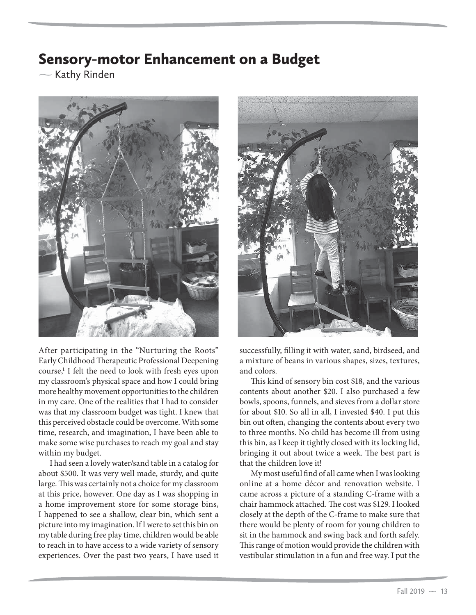## Sensory-motor Enhancement on a Budget

 $\sim$  Kathy Rinden



After participating in the "Nurturing the Roots" Early Childhood Therapeutic Professional Deepening course,**<sup>1</sup>** I felt the need to look with fresh eyes upon my classroom's physical space and how I could bring more healthy movement opportunities to the children in my care. One of the realities that I had to consider was that my classroom budget was tight. I knew that this perceived obstacle could be overcome. With some time, research, and imagination, I have been able to make some wise purchases to reach my goal and stay within my budget.

I had seen a lovely water/sand table in a catalog for about \$500. It was very well made, sturdy, and quite large. This was certainly not a choice for my classroom at this price, however. One day as I was shopping in a home improvement store for some storage bins, I happened to see a shallow, clear bin, which sent a picture into my imagination. If I were to set this bin on my table during free play time, children would be able to reach in to have access to a wide variety of sensory experiences. Over the past two years, I have used it



successfully, filling it with water, sand, birdseed, and a mixture of beans in various shapes, sizes, textures, and colors.

This kind of sensory bin cost \$18, and the various contents about another \$20. I also purchased a few bowls, spoons, funnels, and sieves from a dollar store for about \$10. So all in all, I invested \$40. I put this bin out often, changing the contents about every two to three months. No child has become ill from using this bin, as I keep it tightly closed with its locking lid, bringing it out about twice a week. The best part is that the children love it!

My most useful find of all came when I was looking online at a home décor and renovation website. I came across a picture of a standing C-frame with a chair hammock attached. The cost was \$129. I looked closely at the depth of the C-frame to make sure that there would be plenty of room for young children to sit in the hammock and swing back and forth safely. This range of motion would provide the children with vestibular stimulation in a fun and free way. I put the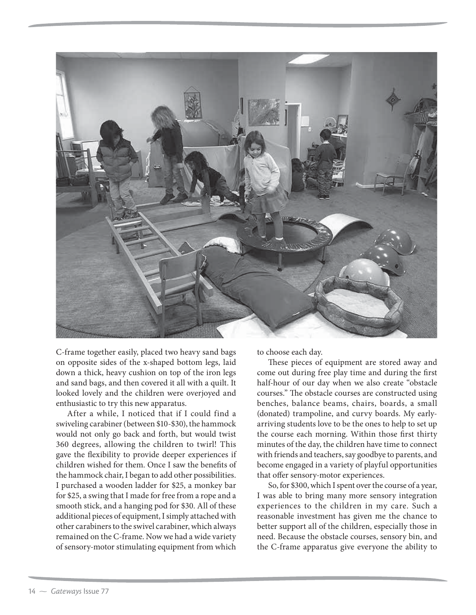

C-frame together easily, placed two heavy sand bags on opposite sides of the x-shaped bottom legs, laid down a thick, heavy cushion on top of the iron legs and sand bags, and then covered it all with a quilt. It looked lovely and the children were overjoyed and enthusiastic to try this new apparatus.

After a while, I noticed that if I could find a swiveling carabiner (between \$10-\$30), the hammock would not only go back and forth, but would twist 360 degrees, allowing the children to twirl! This gave the flexibility to provide deeper experiences if children wished for them. Once I saw the benefits of the hammock chair, I began to add other possibilities. I purchased a wooden ladder for \$25, a monkey bar for \$25, a swing that I made for free from a rope and a smooth stick, and a hanging pod for \$30. All of these additional pieces of equipment, I simply attached with other carabiners to the swivel carabiner, which always remained on the C-frame. Now we had a wide variety of sensory-motor stimulating equipment from which

to choose each day.

These pieces of equipment are stored away and come out during free play time and during the first half-hour of our day when we also create "obstacle courses." The obstacle courses are constructed using benches, balance beams, chairs, boards, a small (donated) trampoline, and curvy boards. My earlyarriving students love to be the ones to help to set up the course each morning. Within those first thirty minutes of the day, the children have time to connect with friends and teachers, say goodbye to parents, and become engaged in a variety of playful opportunities that offer sensory-motor experiences.

So, for \$300, which I spent over the course of a year, I was able to bring many more sensory integration experiences to the children in my care. Such a reasonable investment has given me the chance to better support all of the children, especially those in need. Because the obstacle courses, sensory bin, and the C-frame apparatus give everyone the ability to